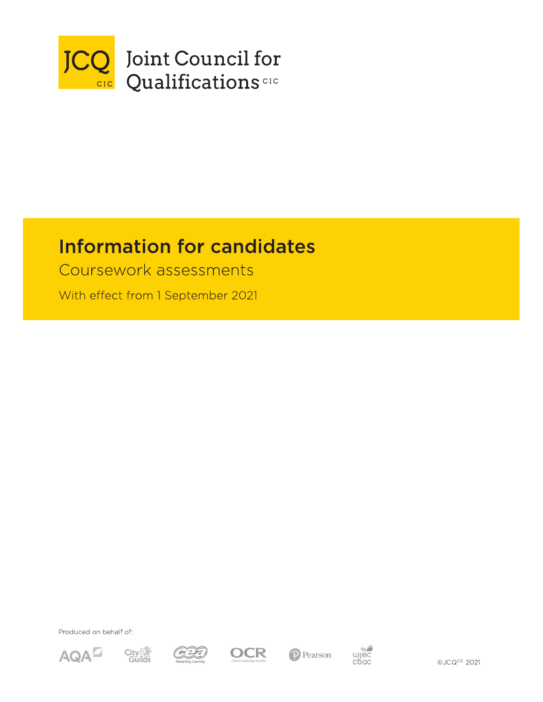

# **Information for candidates**

Coursework assessments

With effect from 1 September 2021

Produced on behalf of:













©JCQCIC 2021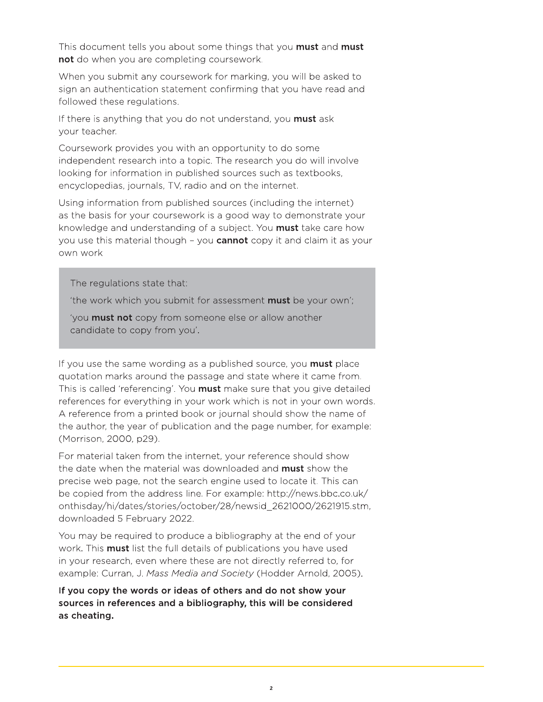This document tells you about some things that you **must** and **must** not do when you are completing coursework.

When you submit any coursework for marking, you will be asked to sign an authentication statement confirming that you have read and followed these regulations.

If there is anything that you do not understand, you **must** ask your teacher.

Coursework provides you with an opportunity to do some independent research into a topic. The research you do will involve looking for information in published sources such as textbooks, encyclopedias, journals, TV, radio and on the internet.

Using information from published sources (including the internet) as the basis for your coursework is a good way to demonstrate your knowledge and understanding of a subject. You **must** take care how you use this material though - you **cannot** copy it and claim it as your own work

The regulations state that:

'the work which you submit for assessment must be your own';

'you **must not** copy from someone else or allow another candidate to copy from you'.

If you use the same wording as a published source, you **must** place quotation marks around the passage and state where it came from. This is called 'referencing'. You **must** make sure that you give detailed references for everything in your work which is not in your own words. A reference from a printed book or journal should show the name of the author, the year of publication and the page number, for example: (Morrison, 2000, p29).

For material taken from the internet, your reference should show the date when the material was downloaded and **must** show the precise web page, not the search engine used to locate it. This can be copied from the address line. For example: http://news.bbc.co.uk/ onthisday/hi/dates/stories/october/28/newsid\_2621000/2621915.stm, downloaded 5 February 2022.

You may be required to produce a bibliography at the end of your work. This **must** list the full details of publications you have used in your research, even where these are not directly referred to, for example: Curran, J. Mass Media and Society (Hodder Arnold, 2005).

If you copy the words or ideas of others and do not show your sources in references and a bibliography, this will be considered as cheating.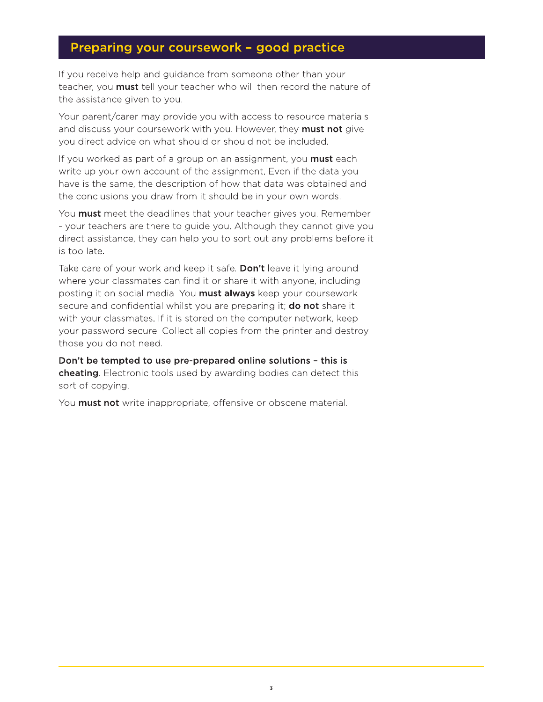#### Preparing your coursework - good practice

If you receive help and guidance from someone other than your teacher, you must tell your teacher who will then record the nature of the assistance given to you.

Your parent/carer may provide you with access to resource materials and discuss your coursework with you. However, they must not give you direct advice on what should or should not be included.

If you worked as part of a group on an assignment, you **must** each write up your own account of the assignment. Even if the data you have is the same, the description of how that data was obtained and the conclusions you draw from it should be in your own words.

You must meet the deadlines that your teacher gives you. Remember - your teachers are there to guide you. Although they cannot give you direct assistance, they can help you to sort out any problems before it is too late.

Take care of your work and keep it safe. Don't leave it lying around where your classmates can find it or share it with anyone, including posting it on social media. You **must always** keep your coursework secure and confidential whilst you are preparing it; **do not** share it with your classmates. If it is stored on the computer network, keep your password secure. Collect all copies from the printer and destroy those you do not need.

Don't be tempted to use pre-prepared online solutions - this is cheating. Electronic tools used by awarding bodies can detect this sort of copying.

You **must not** write inappropriate, offensive or obscene material.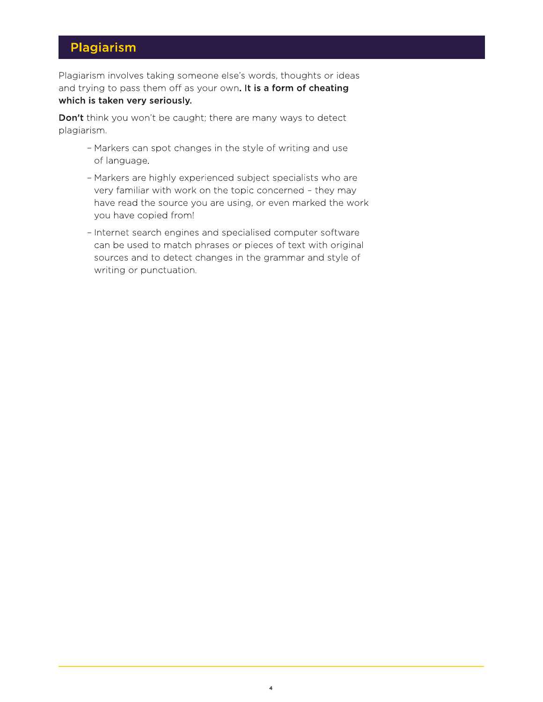### Plagiarism

Plagiarism involves taking someone else's words, thoughts or ideas and trying to pass them off as your own. It is a form of cheating which is taken very seriously.

Don't think you won't be caught; there are many ways to detect plagiarism.

- Markers can spot changes in the style of writing and use of language.
- Markers are highly experienced subject specialists who are very familiar with work on the topic concerned - they may have read the source you are using, or even marked the work you have copied from!
- Internet search engines and specialised computer software can be used to match phrases or pieces of text with original sources and to detect changes in the grammar and style of writing or punctuation.